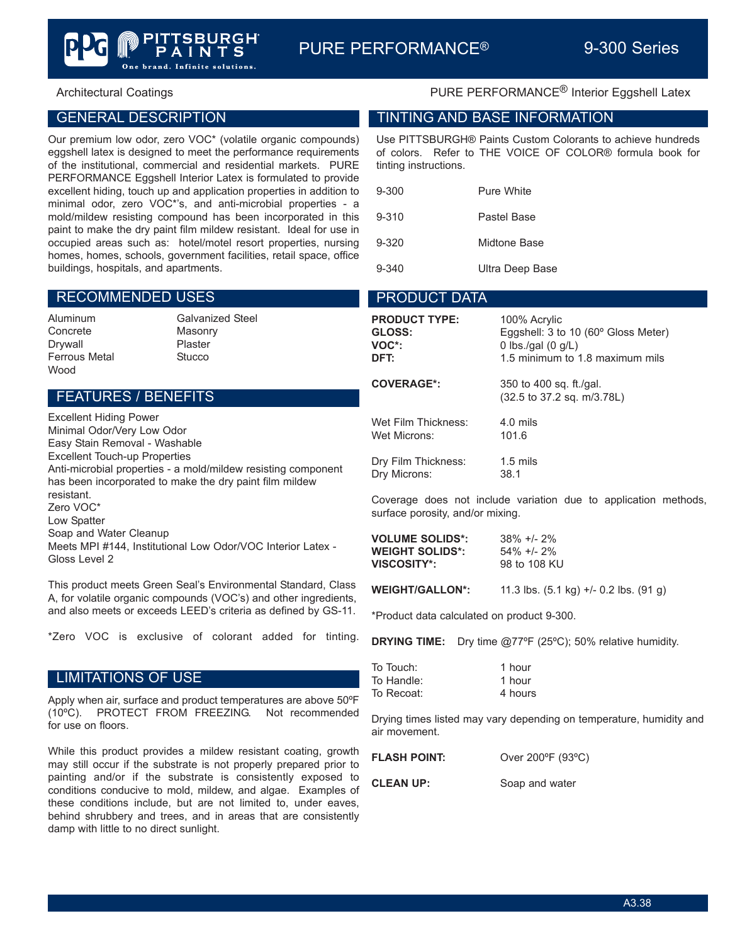### GENERAL DESCRIPTION

Our premium low odor, zero VOC\* (volatile organic compounds) eggshell latex is designed to meet the performance requirements of the institutional, commercial and residential markets. PURE PERFORMANCE Eggshell Interior Latex is formulated to provide excellent hiding, touch up and application properties in addition to minimal odor, zero VOC\*'s, and anti-microbial properties - a mold/mildew resisting compound has been incorporated in this paint to make the dry paint film mildew resistant. Ideal for use in occupied areas such as: hotel/motel resort properties, nursing homes, homes, schools, government facilities, retail space, office buildings, hospitals, and apartments.

brand. Infinite solutions.

 $\mathbf S$ 

### RECOMMENDED USES

Concrete Masonry Drywall Plaster Ferrous Metal **Stucco** Wood

Aluminum Galvanized Steel

## FEATURES / BENEFITS

Excellent Hiding Power Minimal Odor/Very Low Odor Easy Stain Removal - Washable Excellent Touch-up Properties Anti-microbial properties - a mold/mildew resisting component has been incorporated to make the dry paint film mildew resistant. Zero VOC\* Low Spatter Soap and Water Cleanup Meets MPI #144, Institutional Low Odor/VOC Interior Latex - Gloss Level 2

This product meets Green Seal's Environmental Standard, Class A, for volatile organic compounds (VOC's) and other ingredients, and also meets or exceeds LEED's criteria as defined by GS-11.

\*Zero VOC is exclusive of colorant added for tinting.

### LIMITATIONS OF USE

Apply when air, surface and product temperatures are above 50ºF (10ºC). PROTECT FROM FREEZING. Not recommended for use on floors.

While this product provides a mildew resistant coating, growth may still occur if the substrate is not properly prepared prior to painting and/or if the substrate is consistently exposed to conditions conducive to mold, mildew, and algae. Examples of these conditions include, but are not limited to, under eaves, behind shrubbery and trees, and in areas that are consistently damp with little to no direct sunlight.

## Architectural Coatings **PURE PERFORMANCE<sup>®</sup> Interior Eggshell Latex**

### TINTING AND BASE INFORMATION

Use PITTSBURGH® Paints Custom Colorants to achieve hundreds of colors. Refer to THE VOICE OF COLOR® formula book for tinting instructions.

| 9-300     | Pure White      |  |
|-----------|-----------------|--|
| $9 - 310$ | Pastel Base     |  |
| $9 - 320$ | Midtone Base    |  |
| $9 - 340$ | Ultra Deep Base |  |

### PRODUCT DATA

| <b>PRODUCT TYPE:</b> | 100% Acrylic                                          |
|----------------------|-------------------------------------------------------|
| <b>GLOSS:</b>        | Eggshell: 3 to 10 (60° Gloss Meter)                   |
| VOC*:                | 0 lbs./gal $(0 g/L)$                                  |
| DFT:                 | 1.5 minimum to 1.8 maximum mils                       |
| <b>COVERAGE*:</b>    | 350 to 400 sq. ft./gal.<br>(32.5 to 37.2 sq. m/3.78L) |
| Wet Film Thickness:  | $4.0$ mils                                            |
| Wet Microns:         | 101.6                                                 |
| Dry Film Thickness:  | $1.5 \text{ miles}$                                   |
| Dry Microns:         | 38.1                                                  |

Coverage does not include variation due to application methods, surface porosity, and/or mixing.

| <b>VOLUME SOLIDS*:</b> | $38\% + 2\%$ |
|------------------------|--------------|
| <b>WEIGHT SOLIDS*:</b> | 54% +/- 2%   |
| VISCOSITY*:            | 98 to 108 KU |

**WEIGHT/GALLON\*:** 11.3 lbs. (5.1 kg) +/- 0.2 lbs. (91 g)

\*Product data calculated on product 9-300.

**DRYING TIME:** Dry time @77ºF (25ºC); 50% relative humidity.

| To Touch:  | 1 hour  |
|------------|---------|
| To Handle: | 1 hour  |
| To Recoat: | 4 hours |

Drying times listed may vary depending on temperature, humidity and air movement.

| <b>FLASH POINT:</b> | Over 200°F (93°C) |
|---------------------|-------------------|
| <b>CLEAN UP:</b>    | Soap and water    |